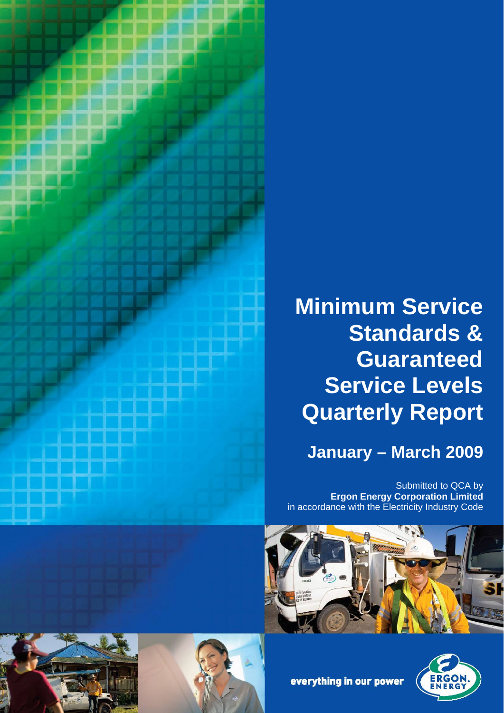

# **Minimum Service Standards & Guaranteed Service Levels Quarterly Report**

**January – March 2009**

Submitted to QCA by **Ergon Energy Corporation Limited** in accordance with the Electricity Industry Code









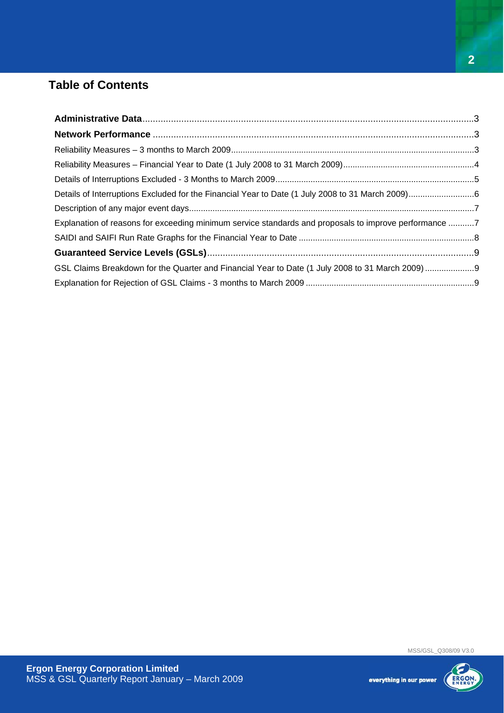## **Table of Contents**

| Explanation of reasons for exceeding minimum service standards and proposals to improve performance 7 |  |
|-------------------------------------------------------------------------------------------------------|--|
|                                                                                                       |  |
|                                                                                                       |  |
|                                                                                                       |  |
|                                                                                                       |  |

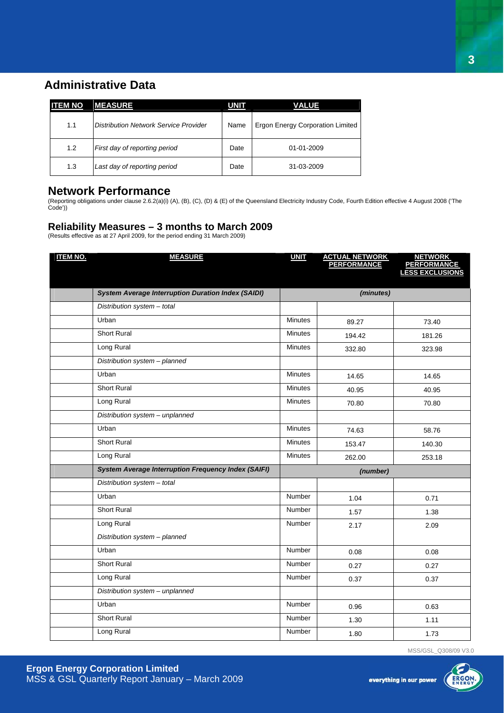## **Administrative Data**

| <b>ITEM NO</b> | <b>MEASURE</b>                        | <b>UNIT</b> | VALUE                            |
|----------------|---------------------------------------|-------------|----------------------------------|
| 1.1            | Distribution Network Service Provider | Name        | Ergon Energy Corporation Limited |
| 1.2            | First day of reporting period         | Date        | $01 - 01 - 2009$                 |
| 1.3            | Last day of reporting period          | Date        | 31-03-2009                       |

#### **Network Performance**

(Reporting obligations under clause 2.6.2(a)(i) (A), (B), (C), (D) & (E) of the Queensland Electricity Industry Code, Fourth Edition effective 4 August 2008 ('The Code'))

#### **Reliability Measures – 3 months to March 2009**

(Results effective as at 27 April 2009, for the period ending 31 March 2009)

| <b>ITEM NO.</b> | <b>MEASURE</b>                                             | <b>UNIT</b>    | <b>ACTUAL NETWORK<br/>PERFORMANCE</b> | <b>NETWORK</b><br><b>PERFORMANCE</b><br>LESS EXCLUSIONS |  |
|-----------------|------------------------------------------------------------|----------------|---------------------------------------|---------------------------------------------------------|--|
|                 |                                                            |                |                                       |                                                         |  |
|                 | <b>System Average Interruption Duration Index (SAIDI)</b>  |                | (minutes)                             |                                                         |  |
|                 | Distribution system - total                                |                |                                       |                                                         |  |
|                 | Urban                                                      | <b>Minutes</b> | 89.27                                 | 73.40                                                   |  |
|                 | <b>Short Rural</b>                                         | <b>Minutes</b> | 194.42                                | 181.26                                                  |  |
|                 | Long Rural                                                 | <b>Minutes</b> | 332.80                                | 323.98                                                  |  |
|                 | Distribution system - planned                              |                |                                       |                                                         |  |
|                 | Urban                                                      | <b>Minutes</b> | 14.65                                 | 14.65                                                   |  |
|                 | <b>Short Rural</b>                                         | <b>Minutes</b> | 40.95                                 | 40.95                                                   |  |
|                 | Long Rural                                                 | <b>Minutes</b> | 70.80                                 | 70.80                                                   |  |
|                 | Distribution system - unplanned                            |                |                                       |                                                         |  |
|                 | Urban                                                      | <b>Minutes</b> | 74.63                                 | 58.76                                                   |  |
|                 | <b>Short Rural</b>                                         | <b>Minutes</b> | 153.47                                | 140.30                                                  |  |
|                 | Long Rural                                                 | <b>Minutes</b> | 262.00                                | 253.18                                                  |  |
|                 | <b>System Average Interruption Frequency Index (SAIFI)</b> | (number)       |                                       |                                                         |  |
|                 | Distribution system - total                                |                |                                       |                                                         |  |
|                 | Urban                                                      | Number         | 1.04                                  | 0.71                                                    |  |
|                 | <b>Short Rural</b>                                         | Number         | 1.57                                  | 1.38                                                    |  |
|                 | Long Rural                                                 | Number         | 2.17                                  | 2.09                                                    |  |
|                 | Distribution system - planned                              |                |                                       |                                                         |  |
|                 | Urban                                                      | Number         | 0.08                                  | 0.08                                                    |  |
|                 | <b>Short Rural</b>                                         | Number         | 0.27                                  | 0.27                                                    |  |
|                 | Long Rural                                                 | Number         | 0.37                                  | 0.37                                                    |  |
|                 | Distribution system - unplanned                            |                |                                       |                                                         |  |
|                 | Urban                                                      | Number         | 0.96                                  | 0.63                                                    |  |
|                 | <b>Short Rural</b>                                         | Number         | 1.30                                  | 1.11                                                    |  |
|                 | Long Rural                                                 | Number         | 1.80                                  | 1.73                                                    |  |

MSS/GSL\_Q308/09 V3.0

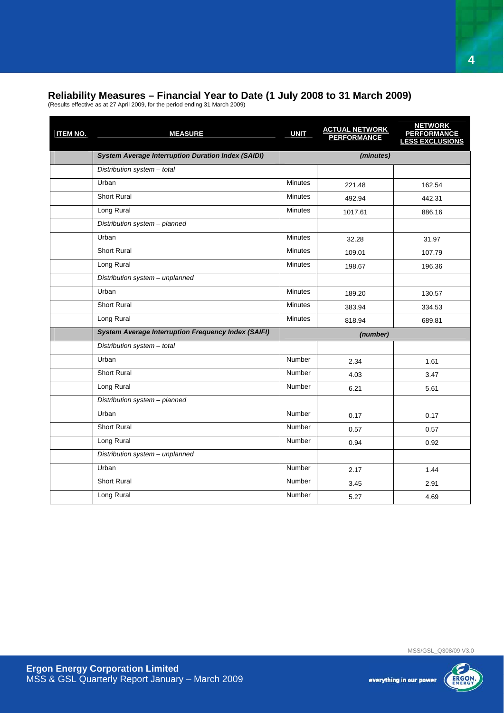#### **Reliability Measures – Financial Year to Date (1 July 2008 to 31 March 2009)**

(Results effective as at 27 April 2009, for the period ending 31 March 2009)

| <b>ITEM NO.</b> | <b>MEASURE</b>                                             | <b>UNIT</b>    | <b>ACTUAL NETWORK</b><br><b>PERFORMANCE</b> | <b>NETWORK</b><br><b>PERFORMANCE</b><br>LESS EXCLUSIONS |  |
|-----------------|------------------------------------------------------------|----------------|---------------------------------------------|---------------------------------------------------------|--|
|                 | <b>System Average Interruption Duration Index (SAIDI)</b>  |                | (minutes)                                   |                                                         |  |
|                 | Distribution system - total                                |                |                                             |                                                         |  |
|                 | Urban                                                      | <b>Minutes</b> | 221.48                                      | 162.54                                                  |  |
|                 | <b>Short Rural</b>                                         | <b>Minutes</b> | 492.94                                      | 442.31                                                  |  |
|                 | Long Rural                                                 | <b>Minutes</b> | 1017.61                                     | 886.16                                                  |  |
|                 | Distribution system - planned                              |                |                                             |                                                         |  |
|                 | Urban                                                      | <b>Minutes</b> | 32.28                                       | 31.97                                                   |  |
|                 | <b>Short Rural</b>                                         | <b>Minutes</b> | 109.01                                      | 107.79                                                  |  |
|                 | Long Rural                                                 | <b>Minutes</b> | 198.67                                      | 196.36                                                  |  |
|                 | Distribution system - unplanned                            |                |                                             |                                                         |  |
|                 | Urban                                                      | <b>Minutes</b> | 189.20                                      | 130.57                                                  |  |
|                 | <b>Short Rural</b>                                         | <b>Minutes</b> | 383.94                                      | 334.53                                                  |  |
|                 | Long Rural                                                 | <b>Minutes</b> | 818.94                                      | 689.81                                                  |  |
|                 | <b>System Average Interruption Frequency Index (SAIFI)</b> |                | (number)                                    |                                                         |  |
|                 | Distribution system - total                                |                |                                             |                                                         |  |
|                 | Urban                                                      | <b>Number</b>  | 2.34                                        | 1.61                                                    |  |
|                 | <b>Short Rural</b>                                         | <b>Number</b>  | 4.03                                        | 3.47                                                    |  |
|                 | Long Rural                                                 | <b>Number</b>  | 6.21                                        | 5.61                                                    |  |
|                 | Distribution system - planned                              |                |                                             |                                                         |  |
|                 | Urban                                                      | <b>Number</b>  | 0.17                                        | 0.17                                                    |  |
|                 | <b>Short Rural</b>                                         | <b>Number</b>  | 0.57                                        | 0.57                                                    |  |
|                 | Long Rural                                                 | Number         | 0.94                                        | 0.92                                                    |  |
|                 | Distribution system - unplanned                            |                |                                             |                                                         |  |
|                 | Urban                                                      | Number         | 2.17                                        | 1.44                                                    |  |
|                 | <b>Short Rural</b>                                         | <b>Number</b>  | 3.45                                        | 2.91                                                    |  |
|                 | Long Rural                                                 | Number         | 5.27                                        | 4.69                                                    |  |
|                 |                                                            |                |                                             |                                                         |  |



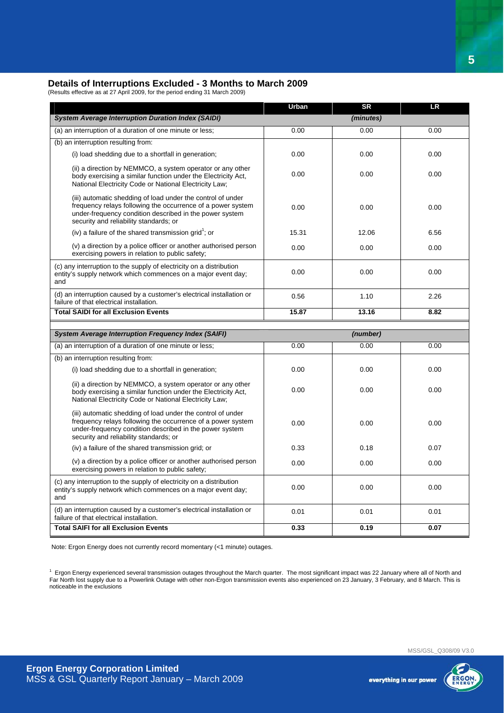#### **Details of Interruptions Excluded - 3 Months to March 2009**

(Results effective as at 27 April 2009, for the period ending 31 March 2009)

|                                                                                                                                                                                                                                 | Urban | <b>SR</b> | <b>LR</b> |
|---------------------------------------------------------------------------------------------------------------------------------------------------------------------------------------------------------------------------------|-------|-----------|-----------|
| <b>System Average Interruption Duration Index (SAIDI)</b>                                                                                                                                                                       |       | (minutes) |           |
| (a) an interruption of a duration of one minute or less;                                                                                                                                                                        | 0.00  | 0.00      | 0.00      |
| (b) an interruption resulting from:                                                                                                                                                                                             |       |           |           |
| (i) load shedding due to a shortfall in generation;                                                                                                                                                                             | 0.00  | 0.00      | 0.00      |
| (ii) a direction by NEMMCO, a system operator or any other<br>body exercising a similar function under the Electricity Act,<br>National Electricity Code or National Electricity Law;                                           | 0.00  | 0.00      | 0.00      |
| (iii) automatic shedding of load under the control of under<br>frequency relays following the occurrence of a power system<br>under-frequency condition described in the power system<br>security and reliability standards; or | 0.00  | 0.00      | 0.00      |
| (iv) a failure of the shared transmission grid <sup>1</sup> ; or                                                                                                                                                                | 15.31 | 12.06     | 6.56      |
| (v) a direction by a police officer or another authorised person<br>exercising powers in relation to public safety;                                                                                                             | 0.00  | 0.00      | 0.00      |
| (c) any interruption to the supply of electricity on a distribution<br>entity's supply network which commences on a major event day;<br>and                                                                                     | 0.00  | 0.00      | 0.00      |
| (d) an interruption caused by a customer's electrical installation or<br>failure of that electrical installation.                                                                                                               | 0.56  | 1.10      | 2.26      |
| <b>Total SAIDI for all Exclusion Events</b>                                                                                                                                                                                     | 15.87 | 13.16     | 8.82      |
| <b>System Average Interruption Frequency Index (SAIFI)</b>                                                                                                                                                                      |       | (number)  |           |
| (a) an interruption of a duration of one minute or less;                                                                                                                                                                        | 0.00  | 0.00      | 0.00      |
| (b) an interruption resulting from:                                                                                                                                                                                             |       |           |           |
| (i) load shedding due to a shortfall in generation;                                                                                                                                                                             | 0.00  | 0.00      | 0.00      |
| (ii) a direction by NEMMCO, a system operator or any other<br>body exercising a similar function under the Electricity Act,<br>National Electricity Code or National Electricity Law;                                           | 0.00  | 0.00      | 0.00      |
| (iii) automatic shedding of load under the control of under<br>frequency relays following the occurrence of a power system<br>under-frequency condition described in the power system<br>security and reliability standards; or | 0.00  | 0.00      | 0.00      |
| (iv) a failure of the shared transmission grid; or                                                                                                                                                                              | 0.33  | 0.18      | 0.07      |
| $f_{\rm c}$ $\Lambda$ , and the set of the contraction of $H$ is a set of a set of a set of a set of a set of a                                                                                                                 |       |           |           |

(v) a direction by a police officer or another authorised person exercising powers in relation to public safety; 0.00 0.00 0.00 (c) any interruption to the supply of electricity on a distribution entity's supply network which commences on a major event day; and 0.00 0.00 0.00 (d) an interruption caused by a customer's electrical installation or failure of that electrical installation. 0.01 0.01 0.01 **Total SAIFI for all Exclusion Events 0.33** 0.19 0.07 **0.07** 

Note: Ergon Energy does not currently record momentary (<1 minute) outages.

<sup>1</sup> Ergon Energy experienced several transmission outages throughout the March quarter. The most significant impact was 22 January where all of North and Far North lost supply due to a Powerlink Outage with other non-Ergon transmission events also experienced on 23 January, 3 February, and 8 March. This is noticeable in the exclusions

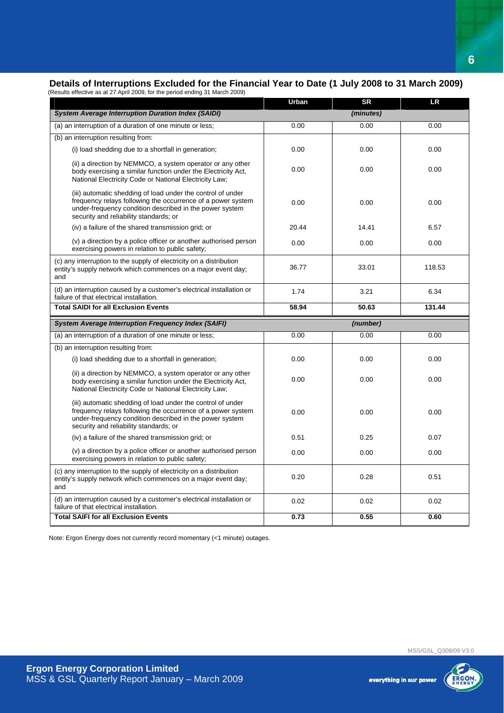## **Details of Interruptions Excluded for the Financial Year to Date (1 July 2008 to 31 March 2009)**

| (Results effective as at 27 April 2009, for the period ending 31 March 2009)                                                                                                                                                    |              |           |        |
|---------------------------------------------------------------------------------------------------------------------------------------------------------------------------------------------------------------------------------|--------------|-----------|--------|
|                                                                                                                                                                                                                                 | <b>Urban</b> | <b>SR</b> | LR     |
| <b>System Average Interruption Duration Index (SAIDI)</b>                                                                                                                                                                       |              | (minutes) |        |
| (a) an interruption of a duration of one minute or less;                                                                                                                                                                        | 0.00         | 0.00      | 0.00   |
| (b) an interruption resulting from:                                                                                                                                                                                             |              |           |        |
| (i) load shedding due to a shortfall in generation;                                                                                                                                                                             | 0.00         | 0.00      | 0.00   |
| (ii) a direction by NEMMCO, a system operator or any other<br>body exercising a similar function under the Electricity Act,<br>National Electricity Code or National Electricity Law;                                           | 0.00         | 0.00      | 0.00   |
| (iii) automatic shedding of load under the control of under<br>frequency relays following the occurrence of a power system<br>under-frequency condition described in the power system<br>security and reliability standards; or | 0.00         | 0.00      | 0.00   |
| (iv) a failure of the shared transmission grid; or                                                                                                                                                                              | 20.44        | 14.41     | 6.57   |
| (v) a direction by a police officer or another authorised person<br>exercising powers in relation to public safety;                                                                                                             | 0.00         | 0.00      | 0.00   |
| (c) any interruption to the supply of electricity on a distribution<br>entity's supply network which commences on a major event day;<br>and                                                                                     | 36.77        | 33.01     | 118.53 |
| (d) an interruption caused by a customer's electrical installation or<br>failure of that electrical installation.                                                                                                               | 1.74         | 3.21      | 6.34   |
|                                                                                                                                                                                                                                 |              |           |        |
| <b>Total SAIDI for all Exclusion Events</b>                                                                                                                                                                                     | 58.94        | 50.63     | 131.44 |
| <b>System Average Interruption Frequency Index (SAIFI)</b>                                                                                                                                                                      |              | (number)  |        |
| (a) an interruption of a duration of one minute or less;                                                                                                                                                                        | 0.00         | 0.00      | 0.00   |
| (b) an interruption resulting from:                                                                                                                                                                                             |              |           |        |
| (i) load shedding due to a shortfall in generation;                                                                                                                                                                             | 0.00         | 0.00      | 0.00   |
| (ii) a direction by NEMMCO, a system operator or any other<br>body exercising a similar function under the Electricity Act,<br>National Electricity Code or National Electricity Law;                                           | 0.00         | 0.00      | 0.00   |
| (iii) automatic shedding of load under the control of under<br>frequency relays following the occurrence of a power system<br>under-frequency condition described in the power system<br>security and reliability standards; or | 0.00         | 0.00      | 0.00   |
| (iv) a failure of the shared transmission grid; or                                                                                                                                                                              | 0.51         | 0.25      | 0.07   |
| (v) a direction by a police officer or another authorised person<br>exercising powers in relation to public safety;                                                                                                             | 0.00         | 0.00      | 0.00   |
| (c) any interruption to the supply of electricity on a distribution<br>entity's supply network which commences on a major event day;<br>and                                                                                     | 0.20         | 0.28      | 0.51   |
| (d) an interruption caused by a customer's electrical installation or<br>failure of that electrical installation.                                                                                                               | 0.02         | 0.02      | 0.02   |

Note: Ergon Energy does not currently record momentary (<1 minute) outages.

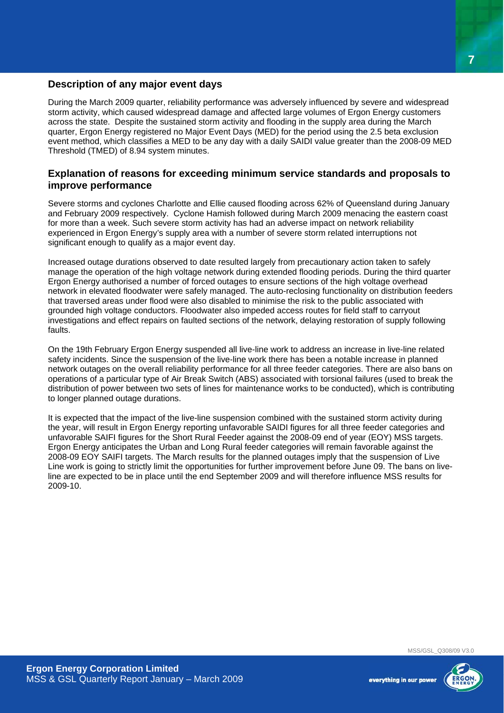#### **Description of any major event days**

During the March 2009 quarter, reliability performance was adversely influenced by severe and widespread storm activity, which caused widespread damage and affected large volumes of Ergon Energy customers across the state. Despite the sustained storm activity and flooding in the supply area during the March quarter, Ergon Energy registered no Major Event Days (MED) for the period using the 2.5 beta exclusion event method, which classifies a MED to be any day with a daily SAIDI value greater than the 2008-09 MED Threshold (TMED) of 8.94 system minutes.

#### **Explanation of reasons for exceeding minimum service standards and proposals to improve performance**

Severe storms and cyclones Charlotte and Ellie caused flooding across 62% of Queensland during January and February 2009 respectively. Cyclone Hamish followed during March 2009 menacing the eastern coast for more than a week. Such severe storm activity has had an adverse impact on network reliability experienced in Ergon Energy's supply area with a number of severe storm related interruptions not significant enough to qualify as a major event day.

Increased outage durations observed to date resulted largely from precautionary action taken to safely manage the operation of the high voltage network during extended flooding periods. During the third quarter Ergon Energy authorised a number of forced outages to ensure sections of the high voltage overhead network in elevated floodwater were safely managed. The auto-reclosing functionality on distribution feeders that traversed areas under flood were also disabled to minimise the risk to the public associated with grounded high voltage conductors. Floodwater also impeded access routes for field staff to carryout investigations and effect repairs on faulted sections of the network, delaying restoration of supply following faults.

On the 19th February Ergon Energy suspended all live-line work to address an increase in live-line related safety incidents. Since the suspension of the live-line work there has been a notable increase in planned network outages on the overall reliability performance for all three feeder categories. There are also bans on operations of a particular type of Air Break Switch (ABS) associated with torsional failures (used to break the distribution of power between two sets of lines for maintenance works to be conducted), which is contributing to longer planned outage durations.

It is expected that the impact of the live-line suspension combined with the sustained storm activity during the year, will result in Ergon Energy reporting unfavorable SAIDI figures for all three feeder categories and unfavorable SAIFI figures for the Short Rural Feeder against the 2008-09 end of year (EOY) MSS targets. Ergon Energy anticipates the Urban and Long Rural feeder categories will remain favorable against the 2008-09 EOY SAIFI targets. The March results for the planned outages imply that the suspension of Live Line work is going to strictly limit the opportunities for further improvement before June 09. The bans on liveline are expected to be in place until the end September 2009 and will therefore influence MSS results for 2009-10.

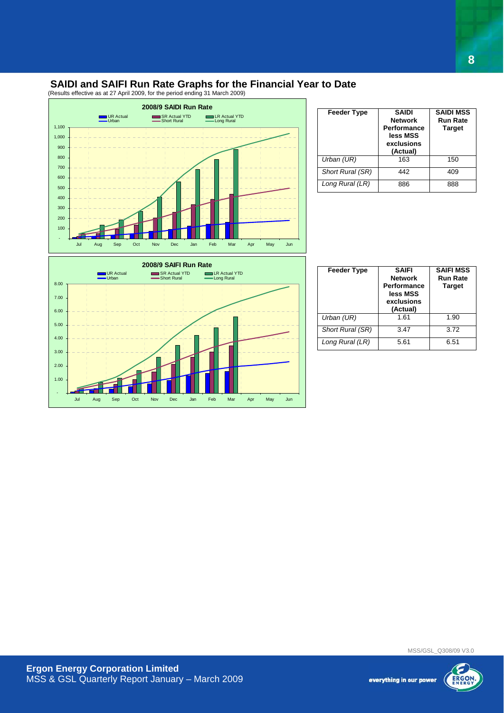#### **SAIDI and SAIFI Run Rate Graphs for the Financial Year to Date**

(Results effective as at 27 April 2009, for the period ending 31 March 2009)



| <b>Feeder Type</b> | <b>SAIDI</b><br><b>Network</b><br><b>Performance</b><br>less MSS<br>exclusions<br>(Actual) | <b>SAIDI MSS</b><br><b>Run Rate</b><br><b>Target</b> |
|--------------------|--------------------------------------------------------------------------------------------|------------------------------------------------------|
| Urban (UR)         | 163                                                                                        | 150                                                  |
| Short Rural (SR)   | 442                                                                                        | 409                                                  |
| Long Rural (LR)    | 886                                                                                        | 888                                                  |

**8**



| <b>Feeder Type</b> | <b>SAIFI</b><br><b>Network</b><br><b>Performance</b><br>less MSS<br>exclusions<br>(Actual) | <b>SAIFI MSS</b><br><b>Run Rate</b><br><b>Target</b> |
|--------------------|--------------------------------------------------------------------------------------------|------------------------------------------------------|
| Urban (UR)         | 1.61                                                                                       | 1.90                                                 |
| Short Rural (SR)   | 3.47                                                                                       | 3.72                                                 |
| Long Rural (LR)    | 5.61                                                                                       | 6.51                                                 |

MSS/GSL\_Q308/09 V3.0

everything in our power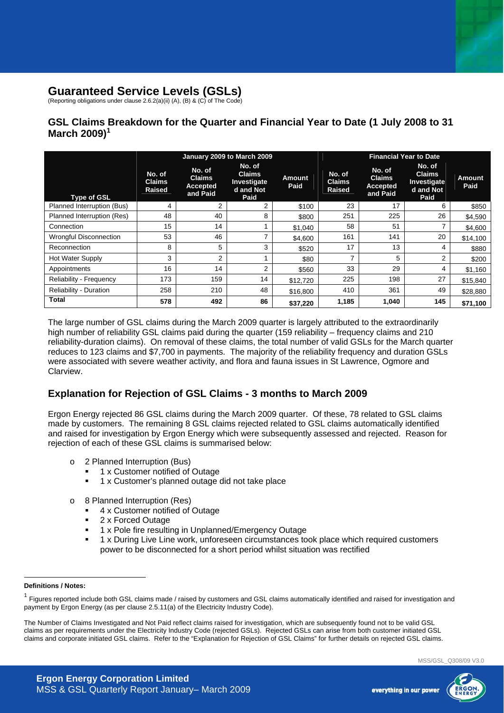## **Guaranteed Service Levels (GSLs)**

(Reporting obligations under clause 2.6.2(a)(ii) (A), (B) & (C) of The Code)

### **GSL Claims Breakdown for the Quarter and Financial Year to Date (1 July 2008 to 31 March 2009)<sup>1</sup>**

|                               | January 2009 to March 2009               |                                                        |                                                             |                       | <b>Financial Year to Date</b>            |                                                 |                                                             |                |
|-------------------------------|------------------------------------------|--------------------------------------------------------|-------------------------------------------------------------|-----------------------|------------------------------------------|-------------------------------------------------|-------------------------------------------------------------|----------------|
| <b>Type of GSL</b>            | No. of<br><b>Claims</b><br><b>Raised</b> | No. of<br><b>Claims</b><br><b>Accepted</b><br>and Paid | No. of<br><b>Claims</b><br>Investigate<br>d and Not<br>Paid | <b>Amount</b><br>Paid | No. of<br><b>Claims</b><br><b>Raised</b> | No. of<br><b>Claims</b><br>Accepted<br>and Paid | No. of<br><b>Claims</b><br>Investigate<br>d and Not<br>Paid | Amount<br>Paid |
| Planned Interruption (Bus)    | 4                                        | $\overline{2}$                                         | 2                                                           | \$100                 | 23                                       | 17                                              | 6                                                           | \$850          |
| Planned Interruption (Res)    | 48                                       | 40                                                     | 8                                                           | \$800                 | 251                                      | 225                                             | 26                                                          | \$4,590        |
| Connection                    | 15                                       | 14                                                     |                                                             | \$1,040               | 58                                       | 51                                              |                                                             | \$4,600        |
| <b>Wrongful Disconnection</b> | 53                                       | 46                                                     | ⇁                                                           | \$4,600               | 161                                      | 141                                             | 20                                                          | \$14,100       |
| Reconnection                  | 8                                        | 5                                                      | 3                                                           | \$520                 | 17                                       | 13                                              | 4                                                           | \$880          |
| <b>Hot Water Supply</b>       | 3                                        | $\overline{2}$                                         |                                                             | \$80                  | $\overline{\phantom{a}}$                 | 5                                               | 2                                                           | \$200          |
| Appointments                  | 16                                       | 14                                                     | 2                                                           | \$560                 | 33                                       | 29                                              | 4                                                           | \$1,160        |
| Reliability - Frequency       | 173                                      | 159                                                    | 14                                                          | \$12,720              | 225                                      | 198                                             | 27                                                          | \$15,840       |
| <b>Reliability - Duration</b> | 258                                      | 210                                                    | 48                                                          | \$16,800              | 410                                      | 361                                             | 49                                                          | \$28,880       |
| <b>Total</b>                  | 578                                      | 492                                                    | 86                                                          | \$37,220              | 1,185                                    | 1,040                                           | 145                                                         | \$71,100       |

The large number of GSL claims during the March 2009 quarter is largely attributed to the extraordinarily high number of reliability GSL claims paid during the quarter (159 reliability – frequency claims and 210 reliability-duration claims). On removal of these claims, the total number of valid GSLs for the March quarter reduces to 123 claims and \$7,700 in payments. The majority of the reliability frequency and duration GSLs were associated with severe weather activity, and flora and fauna issues in St Lawrence, Ogmore and Clarview.

#### **Explanation for Rejection of GSL Claims - 3 months to March 2009**

Ergon Energy rejected 86 GSL claims during the March 2009 quarter. Of these, 78 related to GSL claims made by customers. The remaining 8 GSL claims rejected related to GSL claims automatically identified and raised for investigation by Ergon Energy which were subsequently assessed and rejected. Reason for rejection of each of these GSL claims is summarised below:

- o 2 Planned Interruption (Bus)
	- 1 x Customer notified of Outage
	- 1 x Customer's planned outage did not take place
- 8 Planned Interruption (Res)
	- 4 x Customer notified of Outage
	- 2 x Forced Outage
	- 1 x Pole fire resulting in Unplanned/Emergency Outage
	- 1 x During Live Line work, unforeseen circumstances took place which required customers power to be disconnected for a short period whilst situation was rectified

#### **Definitions / Notes:**

 $\overline{a}$ 



<sup>1</sup> Figures reported include both GSL claims made / raised by customers and GSL claims automatically identified and raised for investigation and payment by Ergon Energy (as per clause 2.5.11(a) of the Electricity Industry Code).

The Number of Claims Investigated and Not Paid reflect claims raised for investigation, which are subsequently found not to be valid GSL claims as per requirements under the Electricity Industry Code (rejected GSLs). Rejected GSLs can arise from both customer initiated GSL claims and corporate initiated GSL claims. Refer to the "Explanation for Rejection of GSL Claims" for further details on rejected GSL claims.